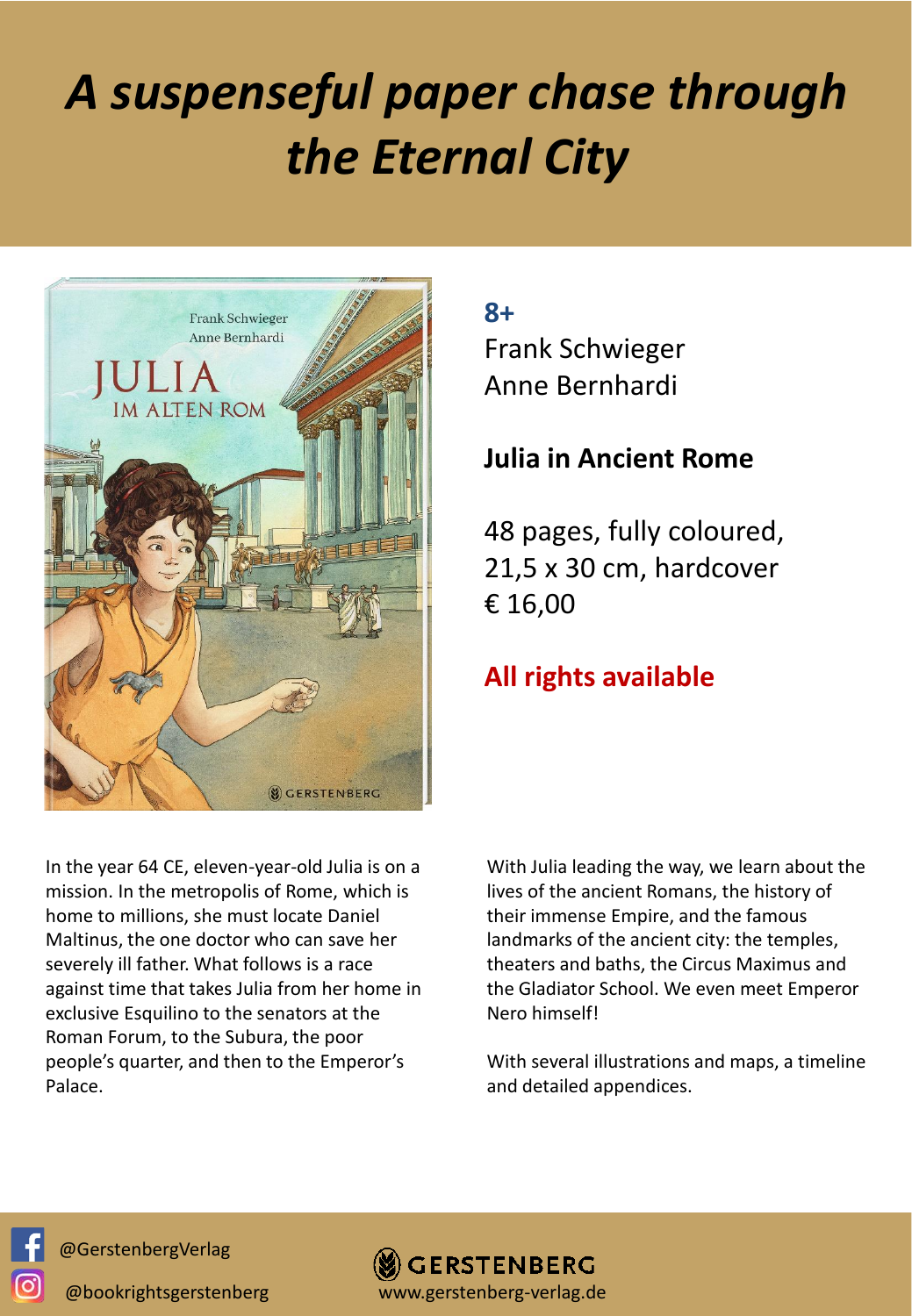## *A suspenseful paper chase through the Eternal City*



In the year 64 CE, eleven-year-old Julia is on a mission. In the metropolis of Rome, which is home to millions, she must locate Daniel Maltinus, the one doctor who can save her severely ill father. What follows is a race against time that takes Julia from her home in exclusive Esquilino to the senators at the Roman Forum, to the Subura, the poor people's quarter, and then to the Emperor's Palace.

**8+**

Frank Schwieger Anne Bernhardi

## **Julia in Ancient Rome**

48 pages, fully coloured, 21,5 x 30 cm, hardcover € 16,00

## **All rights available**

With Julia leading the way, we learn about the lives of the ancient Romans, the history of their immense Empire, and the famous landmarks of the ancient city: the temples, theaters and baths, the Circus Maximus and the Gladiator School. We even meet Emperor Nero himself!

With several illustrations and maps, a timeline and detailed appendices.

@GerstenbergVerlag

ſo